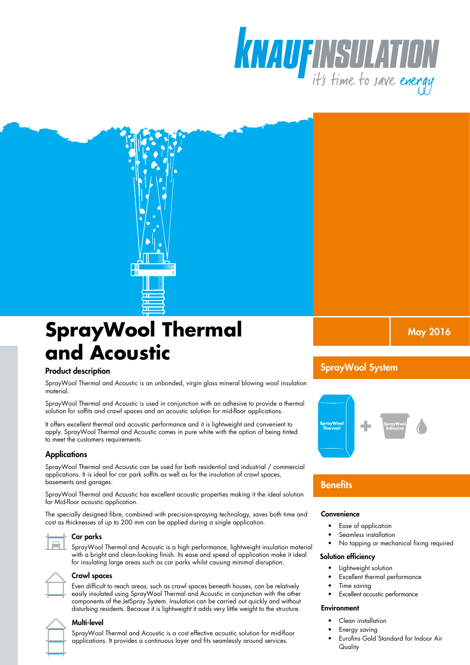



# **SprayWool Thermal and Acoustic**

#### Product description

SprayWool Thermal and Acoustic is an unbonded, virgin glass mineral blowing wool insulation material.

SprayWool Thermal and Acoustic is used in conjunction with an adhesive to provide a thermal solution for soffits and crawl spaces and an acoustic solution for mid-floor applications.

It offers excellent thermal and acoustic performance and it is lightweight and convenient to apply. SprayWool Thermal and Acoustic comes in pure white with the option of being tinted to meet the customers requirements.

### **Applications**

SprayWool Thermal and Acoustic can be used for both residential and industrial / commercial applications. It is ideal for car park soffits as well as for the insulation of crawl spaces, basements and garages.

SprayWool Thermal and Acoustic has excellent acoustic properties making it the ideal solution for Mid-floor acoustic application.

The specially designed fibre, combined with precision-spraying technology, saves both time and cost as thicknesses of up to 200 mm can be applied during a single application.

Car parks

SprayWool Thermal and Acoustic is a high performance, lightweight insulation material with a bright and clean-looking finish. Its ease and speed of application make it ideal for insulating large areas such as car parks whilst causing minimal disruption.



#### Crawl spaces

Even difficult to reach areas, such as crawl spaces beneath houses, can be relatively easily insulated using SprayWool Thermal and Acoustic in conjunction with the other components of the JetSpray System. Insulation can be carried out quickly and without disturbing residents. Because it is lightweight it adds very little weight to the structure.

| 1 |  |
|---|--|
|   |  |
|   |  |

#### Multi-level

SprayWool Thermal and Acoustic is a cost effective acoustic solution for mid-floor applications. It provides a continuous layer and fits seamlessly around services.

May 2016

# SprayWool System



# **Benefits**

#### **Convenience**

- Ease of application
- Seamless installation
- No tapping or mechanical fixing required

#### Solution efficiency

- Lightweight solution
- Excellent thermal performance
- Time saving
	- **Excellent acoustic performance**

#### **Environment**

- Clean installation
- Energy saving
- Eurofins Gold Standard for Indoor Air **Quality**